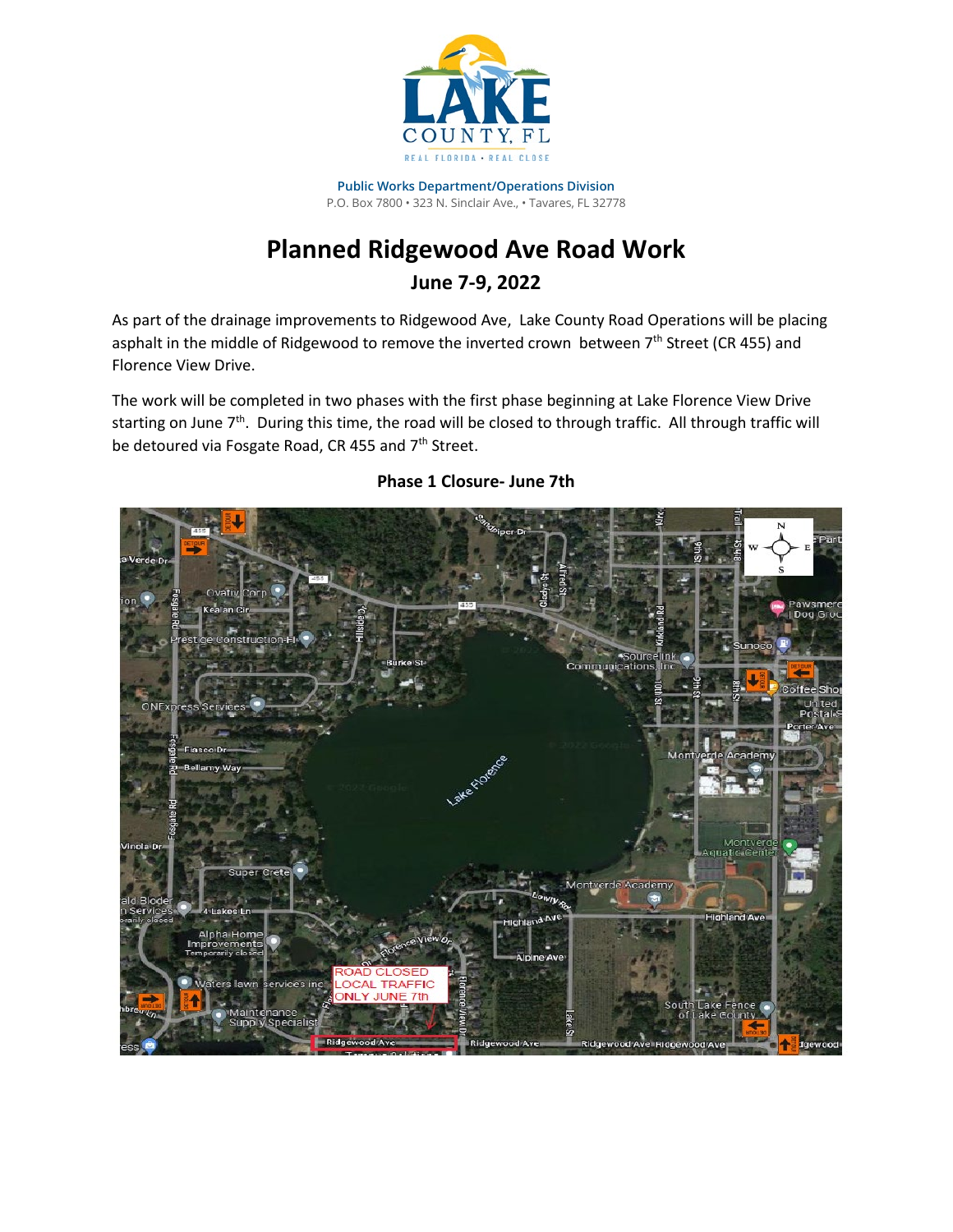

**Public Works Department/Operations Division** P.O. Box 7800 • 323 N. Sinclair Ave., • Tavares, FL 32778

## **Planned Ridgewood Ave Road Work June 7-9, 2022**

As part of the drainage improvements to Ridgewood Ave, Lake County Road Operations will be placing asphalt in the middle of Ridgewood to remove the inverted crown between 7<sup>th</sup> Street (CR 455) and Florence View Drive.

The work will be completed in two phases with the first phase beginning at Lake Florence View Drive starting on June  $7<sup>th</sup>$ . During this time, the road will be closed to through traffic. All through traffic will be detoured via Fosgate Road, CR 455 and 7<sup>th</sup> Street.



## **Phase 1 Closure- June 7th**